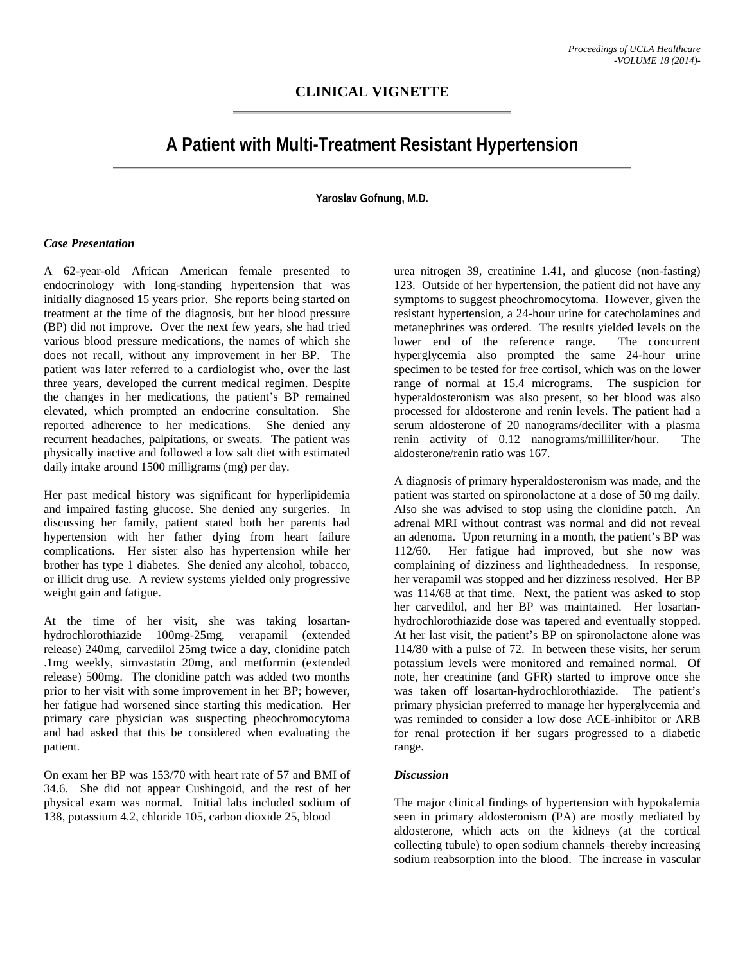## **CLINICAL VIGNETTE**

# **A Patient with Multi-Treatment Resistant Hypertension**

### **Yaroslav Gofnung, M.D.**

#### *Case Presentation*

A 62-year-old African American female presented to endocrinology with long-standing hypertension that was initially diagnosed 15 years prior. She reports being started on treatment at the time of the diagnosis, but her blood pressure (BP) did not improve. Over the next few years, she had tried various blood pressure medications, the names of which she does not recall, without any improvement in her BP. The patient was later referred to a cardiologist who, over the last three years, developed the current medical regimen. Despite the changes in her medications, the patient's BP remained elevated, which prompted an endocrine consultation. She reported adherence to her medications. She denied any recurrent headaches, palpitations, or sweats. The patient was physically inactive and followed a low salt diet with estimated daily intake around 1500 milligrams (mg) per day.

Her past medical history was significant for hyperlipidemia and impaired fasting glucose. She denied any surgeries. In discussing her family, patient stated both her parents had hypertension with her father dying from heart failure complications. Her sister also has hypertension while her brother has type 1 diabetes. She denied any alcohol, tobacco, or illicit drug use. A review systems yielded only progressive weight gain and fatigue.

At the time of her visit, she was taking losartanhydrochlorothiazide 100mg-25mg, verapamil (extended release) 240mg, carvedilol 25mg twice a day, clonidine patch .1mg weekly, simvastatin 20mg, and metformin (extended release) 500mg. The clonidine patch was added two months prior to her visit with some improvement in her BP; however, her fatigue had worsened since starting this medication. Her primary care physician was suspecting pheochromocytoma and had asked that this be considered when evaluating the patient.

On exam her BP was 153/70 with heart rate of 57 and BMI of 34.6. She did not appear Cushingoid, and the rest of her physical exam was normal. Initial labs included sodium of 138, potassium 4.2, chloride 105, carbon dioxide 25, blood

urea nitrogen 39, creatinine 1.41, and glucose (non-fasting) 123. Outside of her hypertension, the patient did not have any symptoms to suggest pheochromocytoma. However, given the resistant hypertension, a 24-hour urine for catecholamines and metanephrines was ordered. The results yielded levels on the lower end of the reference range. The concurrent hyperglycemia also prompted the same 24-hour urine specimen to be tested for free cortisol, which was on the lower range of normal at 15.4 micrograms. The suspicion for hyperaldosteronism was also present, so her blood was also processed for aldosterone and renin levels. The patient had a serum aldosterone of 20 nanograms/deciliter with a plasma renin activity of 0.12 nanograms/milliliter/hour. The aldosterone/renin ratio was 167.

A diagnosis of primary hyperaldosteronism was made, and the patient was started on spironolactone at a dose of 50 mg daily. Also she was advised to stop using the clonidine patch. An adrenal MRI without contrast was normal and did not reveal an adenoma. Upon returning in a month, the patient's BP was 112/60. Her fatigue had improved, but she now was complaining of dizziness and lightheadedness. In response, her verapamil was stopped and her dizziness resolved. Her BP was 114/68 at that time. Next, the patient was asked to stop her carvedilol, and her BP was maintained. Her losartanhydrochlorothiazide dose was tapered and eventually stopped. At her last visit, the patient's BP on spironolactone alone was 114/80 with a pulse of 72. In between these visits, her serum potassium levels were monitored and remained normal. Of note, her creatinine (and GFR) started to improve once she was taken off losartan-hydrochlorothiazide. The patient's primary physician preferred to manage her hyperglycemia and was reminded to consider a low dose ACE-inhibitor or ARB for renal protection if her sugars progressed to a diabetic range.

#### *Discussion*

The major clinical findings of hypertension with hypokalemia seen in primary aldosteronism (PA) are mostly mediated by aldosterone, which acts on the kidneys (at the cortical collecting tubule) to open sodium channels–thereby increasing sodium reabsorption into the blood. The increase in vascular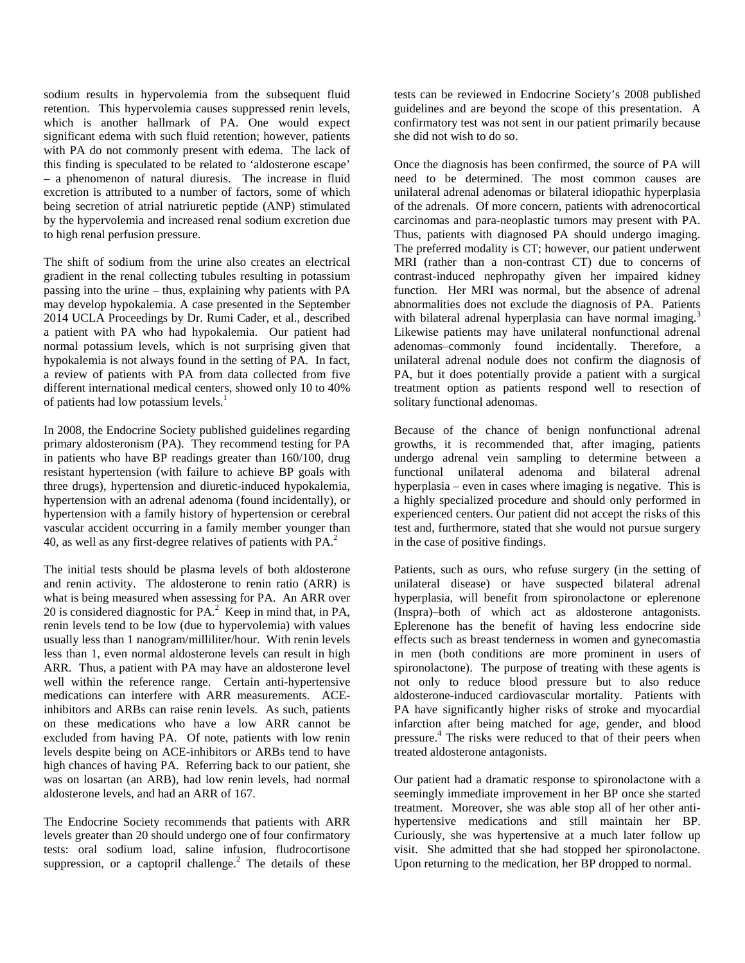sodium results in hypervolemia from the subsequent fluid retention. This hypervolemia causes suppressed renin levels, which is another hallmark of PA. One would expect significant edema with such fluid retention; however, patients with PA do not commonly present with edema. The lack of this finding is speculated to be related to 'aldosterone escape' – a phenomenon of natural diuresis. The increase in fluid excretion is attributed to a number of factors, some of which being secretion of atrial natriuretic peptide (ANP) stimulated by the hypervolemia and increased renal sodium excretion due to high renal perfusion pressure.

The shift of sodium from the urine also creates an electrical gradient in the renal collecting tubules resulting in potassium passing into the urine – thus, explaining why patients with PA may develop hypokalemia. A case presented in the September 2014 UCLA Proceedings by Dr. Rumi Cader, et al., described a patient with PA who had hypokalemia. Our patient had normal potassium levels, which is not surprising given that hypokalemia is not always found in the setting of PA. In fact, a review of patients with PA from data collected from five different international medical centers, showed only 10 to 40% of patients had low potassium levels.<sup>1</sup>

In 2008, the Endocrine Society published guidelines regarding primary aldosteronism (PA). They recommend testing for PA in patients who have BP readings greater than 160/100, drug resistant hypertension (with failure to achieve BP goals with three drugs), hypertension and diuretic-induced hypokalemia, hypertension with an adrenal adenoma (found incidentally), or hypertension with a family history of hypertension or cerebral vascular accident occurring in a family member younger than 40, as well as any first-degree relatives of patients with PA.<sup>2</sup>

The initial tests should be plasma levels of both aldosterone and renin activity. The aldosterone to renin ratio (ARR) is what is being measured when assessing for PA. An ARR over 20 is considered diagnostic for  $PA<sup>2</sup>$  Keep in mind that, in PA, renin levels tend to be low (due to hypervolemia) with values usually less than 1 nanogram/milliliter/hour. With renin levels less than 1, even normal aldosterone levels can result in high ARR. Thus, a patient with PA may have an aldosterone level well within the reference range. Certain anti-hypertensive medications can interfere with ARR measurements. ACEinhibitors and ARBs can raise renin levels. As such, patients on these medications who have a low ARR cannot be excluded from having PA. Of note, patients with low renin levels despite being on ACE-inhibitors or ARBs tend to have high chances of having PA. Referring back to our patient, she was on losartan (an ARB), had low renin levels, had normal aldosterone levels, and had an ARR of 167.

The Endocrine Society recommends that patients with ARR levels greater than 20 should undergo one of four confirmatory tests: oral sodium load, saline infusion, fludrocortisone suppression, or a captopril challenge.<sup>2</sup> The details of these tests can be reviewed in Endocrine Society's 2008 published guidelines and are beyond the scope of this presentation. A confirmatory test was not sent in our patient primarily because she did not wish to do so.

Once the diagnosis has been confirmed, the source of PA will need to be determined. The most common causes are unilateral adrenal adenomas or bilateral idiopathic hyperplasia of the adrenals. Of more concern, patients with adrenocortical carcinomas and para-neoplastic tumors may present with PA. Thus, patients with diagnosed PA should undergo imaging. The preferred modality is CT; however, our patient underwent MRI (rather than a non-contrast CT) due to concerns of contrast-induced nephropathy given her impaired kidney function. Her MRI was normal, but the absence of adrenal abnormalities does not exclude the diagnosis of PA. Patients with bilateral adrenal hyperplasia can have normal imaging.<sup>3</sup> Likewise patients may have unilateral nonfunctional adrenal adenomas–commonly found incidentally. Therefore, a unilateral adrenal nodule does not confirm the diagnosis of PA, but it does potentially provide a patient with a surgical treatment option as patients respond well to resection of solitary functional adenomas.

Because of the chance of benign nonfunctional adrenal growths, it is recommended that, after imaging, patients undergo adrenal vein sampling to determine between a functional unilateral adenoma and bilateral adrenal hyperplasia – even in cases where imaging is negative. This is a highly specialized procedure and should only performed in experienced centers. Our patient did not accept the risks of this test and, furthermore, stated that she would not pursue surgery in the case of positive findings.

Patients, such as ours, who refuse surgery (in the setting of unilateral disease) or have suspected bilateral adrenal hyperplasia, will benefit from spironolactone or eplerenone (Inspra)–both of which act as aldosterone antagonists. Eplerenone has the benefit of having less endocrine side effects such as breast tenderness in women and gynecomastia in men (both conditions are more prominent in users of spironolactone). The purpose of treating with these agents is not only to reduce blood pressure but to also reduce aldosterone-induced cardiovascular mortality. Patients with PA have significantly higher risks of stroke and myocardial infarction after being matched for age, gender, and blood pressure.<sup>4</sup> The risks were reduced to that of their peers when treated aldosterone antagonists.

Our patient had a dramatic response to spironolactone with a seemingly immediate improvement in her BP once she started treatment. Moreover, she was able stop all of her other antihypertensive medications and still maintain her BP. Curiously, she was hypertensive at a much later follow up visit. She admitted that she had stopped her spironolactone. Upon returning to the medication, her BP dropped to normal.